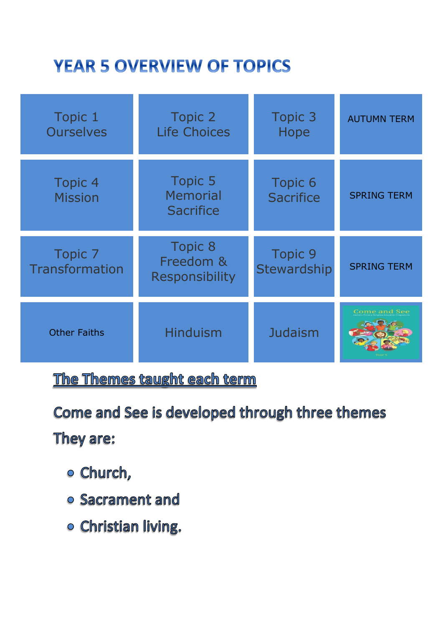# **YEAR 5 OVERVIEW OF TOPICS**

| Topic 1<br><b>Ourselves</b>      | <b>Topic 2</b><br><b>Life Choices</b>          | Topic 3<br>Hope               | <b>AUTUMN TERM</b>  |
|----------------------------------|------------------------------------------------|-------------------------------|---------------------|
| <b>Topic 4</b><br><b>Mission</b> | Topic 5<br><b>Memorial</b><br><b>Sacrifice</b> | Topic 6<br><b>Sacrifice</b>   | <b>SPRING TERM</b>  |
| Topic 7<br>Transformation        | Topic 8<br>Freedom &<br><b>Responsibility</b>  | <b>Topic 9</b><br>Stewardship | <b>SPRING TERM</b>  |
| <b>Other Faiths</b>              | <b>Hinduism</b>                                | <b>Judaism</b>                | <b>Come and See</b> |

The Themes taught each term

## Come and See is developed through three themes

They are:

- o Church,
- o Sacrament and
- o Christian living.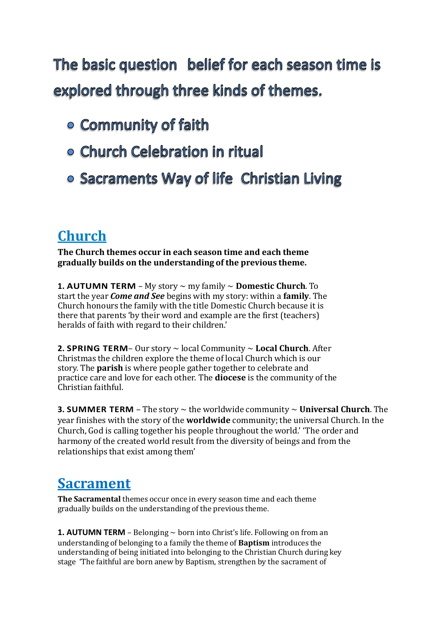The basic question belief for each season time is explored through three kinds of themes.

- o Community of faith
- o Church Celebration in ritual
- o Sacraments Way of life Christian Living

## **Church**

**The Church themes occur in each season time and each theme gradually builds on the understanding of the previous theme.**

**1. AUTUMN TERM** – My story ~ my family ~ **Domestic Church**. To start the year *Come and See* begins with my story: within a **family**. The Church honours the family with the title Domestic Church because it is there that parents 'by their word and example are the first (teachers) heralds of faith with regard to their children.'

**2. SPRING TERM**– Our story ~ local Community ~ **Local Church**. After Christmas the children explore the theme of local Church which is our story. The **parish** is where people gather together to celebrate and practice care and love for each other. The **diocese** is the community of the Christian faithful.

**3. SUMMER TERM** – The story ~ the worldwide community ~ **Universal Church**. The year finishes with the story of the **worldwide** community;the universal Church. In the Church, God is calling together his people throughout the world.' 'The order and harmony of the created world result from the diversity of beings and from the relationships that exist among them'

## **Sacrament**

**The Sacramental** themes occur once in every season time and each theme gradually builds on the understanding of the previous theme.

**1. AUTUMN TERM** – Belonging  $\sim$  born into Christ's life. Following on from an understanding of belonging to a family the theme of **Baptism** introduces the understanding of being initiated into belonging to the Christian Church during key stage 'The faithful are born anew by Baptism, strengthen by the sacrament of